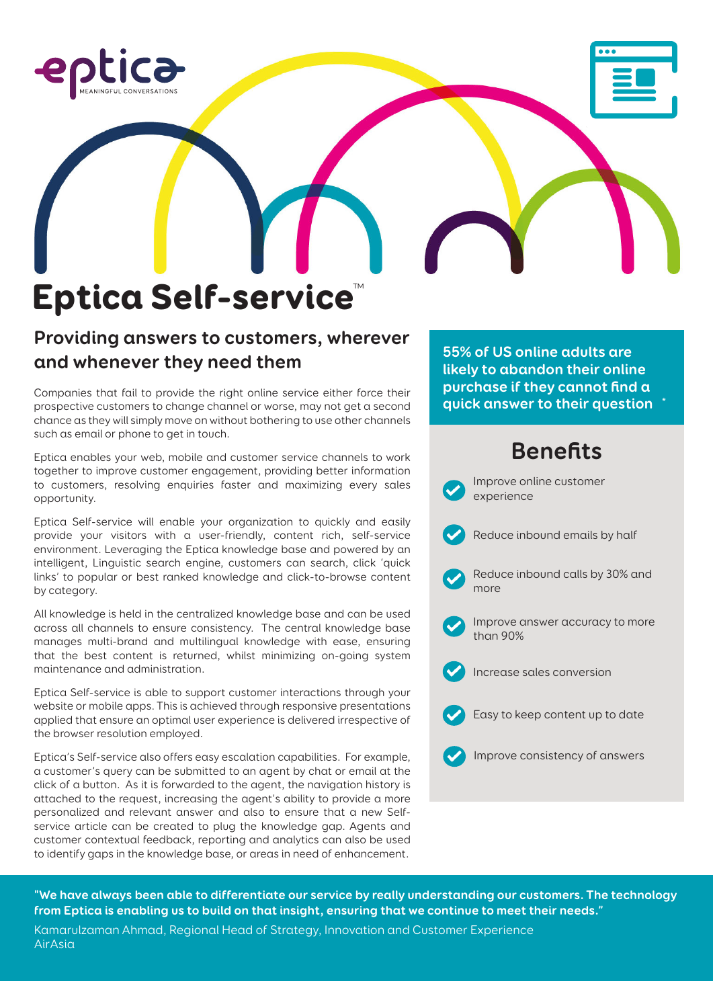

# Eptica Self-service™

### **Providing answers to customers, wherever and whenever they need them**

Companies that fail to provide the right online service either force their prospective customers to change channel or worse, may not get a second chance as they will simply move on without bothering to use other channels such as email or phone to get in touch.

Eptica enables your web, mobile and customer service channels to work together to improve customer engagement, providing better information to customers, resolving enquiries faster and maximizing every sales opportunity.

Eptica Self-service will enable your organization to quickly and easily provide your visitors with a user-friendly, content rich, self-service environment. Leveraging the Eptica knowledge base and powered by an intelligent, Linguistic search engine, customers can search, click 'quick links' to popular or best ranked knowledge and click-to-browse content by category.

All knowledge is held in the centralized knowledge base and can be used across all channels to ensure consistency. The central knowledge base manages multi-brand and multilingual knowledge with ease, ensuring that the best content is returned, whilst minimizing on-going system maintenance and administration.

Eptica Self-service is able to support customer interactions through your website or mobile apps. This is achieved through responsive presentations applied that ensure an optimal user experience is delivered irrespective of the browser resolution employed.

Eptica's Self-service also offers easy escalation capabilities. For example, a customer's query can be submitted to an agent by chat or email at the click of a button. As it is forwarded to the agent, the navigation history is attached to the request, increasing the agent's ability to provide a more personalized and relevant answer and also to ensure that a new Selfservice article can be created to plug the knowledge gap. Agents and customer contextual feedback, reporting and analytics can also be used to identify gaps in the knowledge base, or areas in need of enhancement.

**55% of US online adults are likely to abandon their online purchase if they cannot find a quick answer to their question \***

# **Benefits**



**"We have always been able to differentiate our service by really understanding our customers. The technology from Eptica is enabling us to build on that insight, ensuring that we continue to meet their needs."** Kamarulzaman Ahmad, Regional Head of Strategy, Innovation and Customer Experience AirAsia